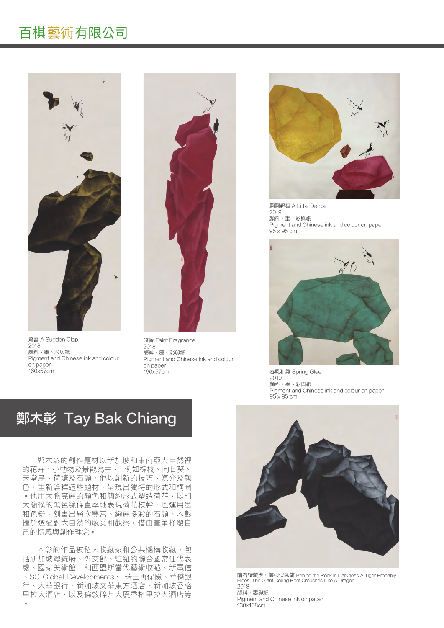### 百棋藝術有限公司



驚雷 A Sudden Clap 2018 顏料、墨、彩與紙 Pigment and Chinese ink and colour on paper 160x57cm



暗香 Faint Fragrance 2018 顏料、墨、彩與紙 Pigment and Chinese ink and colour on paper 160x57cm



翩翩起舞 A Little Dance 2019 顏料、墨、彩與紙 Pigment and Chinese ink and colour on paper 95 x 95 cm



春風和氣 Spring Glee 2019 顏料、墨、彩與紙 Pigment and Chinese ink and colour on paper 95 x 95 cm

## **鄭木彰 Tay Bak Chiang**

鄭木彰的創作題材以新加坡和東南亞大自然裡 的花卉、小動物及景觀為主, 例如棕櫚、向日葵、 天堂鳥、荷塘及石頭。他以創新的技巧、媒介及颜 色,重新詮釋這些題材,呈現出獨特的形式和構圖 。他用大膽亮麗的顏色和簡約形式塑造荷花,以粗 大簡樸的黑色線條直率地表現荷花枝幹,也運用墨 和色粉,刻畫出層次豐富、絢麗多彩的石頭。木彰 擅於透過對大自然的感受和觀察,借由畫筆抒發自 己的情感與創作理念。

木彰的作品被私人收藏家和公共機構收藏,包 括新加坡總統府、外交部、駐紐約聯合國常任代表 處、國家美術館,和西盟斯當代藝術收藏、新電信 、SC Global Developments、 瑞士再保險、華僑銀 行、大華銀行、新加坡文華東方酒店、新加坡香格 里拉大酒店、以及倫敦碎片大厦香格里拉大酒店等



暗石疑藏虎,盤根似臥龍 Behind the Rock in Darkness A Tiger Probably<br>Hides, The Giant Coiling Root Crouches Like A Dragon 2018 顏料、墨與紙 Pigment and Chinese ink on paper 138x138cm